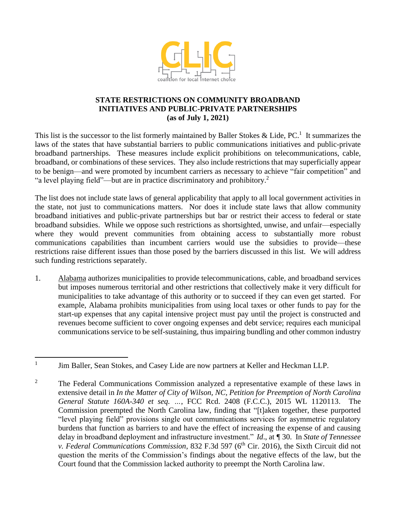

## **STATE RESTRICTIONS ON COMMUNITY BROADBAND INITIATIVES AND PUBLIC-PRIVATE PARTNERSHIPS (as of July 1, 2021)**

This list is the successor to the list formerly maintained by Baller Stokes & Lide,  $PC<sup>1</sup>$ . It summarizes the laws of the states that have substantial barriers to public communications initiatives and public-private broadband partnerships. These measures include explicit prohibitions on telecommunications, cable, broadband, or combinations of these services. They also include restrictions that may superficially appear to be benign—and were promoted by incumbent carriers as necessary to achieve "fair competition" and "a level playing field"—but are in practice discriminatory and prohibitory.<sup>2</sup>

The list does not include state laws of general applicability that apply to all local government activities in the state, not just to communications matters. Nor does it include state laws that allow community broadband initiatives and public-private partnerships but bar or restrict their access to federal or state broadband subsidies. While we oppose such restrictions as shortsighted, unwise, and unfair—especially where they would prevent communities from obtaining access to substantially more robust communications capabilities than incumbent carriers would use the subsidies to provide—these restrictions raise different issues than those posed by the barriers discussed in this list. We will address such funding restrictions separately.

1. Alabama authorizes municipalities to provide telecommunications, cable, and broadband services but imposes numerous territorial and other restrictions that collectively make it very difficult for municipalities to take advantage of this authority or to succeed if they can even get started. For example, Alabama prohibits municipalities from using local taxes or other funds to pay for the start-up expenses that any capital intensive project must pay until the project is constructed and revenues become sufficient to cover ongoing expenses and debt service; requires each municipal communications service to be self-sustaining, thus impairing bundling and other common industry

<sup>1</sup> Jim Baller, Sean Stokes, and Casey Lide are now partners at Keller and Heckman LLP.

<sup>&</sup>lt;sup>2</sup> The Federal Communications Commission analyzed a representative example of these laws in extensive detail in *In the Matter of City of Wilson, NC, Petition for Preemption of North Carolina General Statute 160A-340 et seq. …*, FCC Rcd. 2408 (F.C.C.), 2015 WL 1120113. The Commission preempted the North Carolina law, finding that "[t]aken together, these purported "level playing field" provisions single out communications services for asymmetric regulatory burdens that function as barriers to and have the effect of increasing the expense of and causing delay in broadband deployment and infrastructure investment." *Id*., at *¶* 30. In *State of Tennessee v. Federal Communications Commission, 832 F.3d 597 (6<sup>th</sup> Cir. 2016), the Sixth Circuit did not* question the merits of the Commission's findings about the negative effects of the law, but the Court found that the Commission lacked authority to preempt the North Carolina law.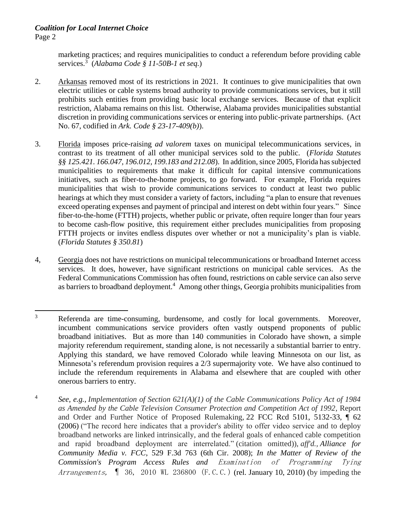marketing practices; and requires municipalities to conduct a referendum before providing cable services.<sup>3</sup> (*Alabama Code § 11-50B-1 et seq.*)

- 2. Arkansas removed most of its restrictions in 2021. It continues to give municipalities that own electric utilities or cable systems broad authority to provide communications services, but it still prohibits such entities from providing basic local exchange services. Because of that explicit restriction, Alabama remains on this list. Otherwise, Alabama provides municipalities substantial discretion in providing communications services or entering into public-private partnerships. (Act No. 67, codified in *Ark. Code § 23-17-409(b)*).
- 3. Florida imposes price-raising *ad valorem* taxes on municipal telecommunications services, in contrast to its treatment of all other municipal services sold to the public. (*Florida Statutes §§ 125.421. 166.047, 196.012, 199.183 and 212.08*). In addition, since 2005, Florida has subjected municipalities to requirements that make it difficult for capital intensive communications initiatives, such as fiber-to-the-home projects, to go forward. For example, Florida requires municipalities that wish to provide communications services to conduct at least two public hearings at which they must consider a variety of factors, including "a plan to ensure that revenues exceed operating expenses and payment of principal and interest on debt within four years." Since fiber-to-the-home (FTTH) projects, whether public or private, often require longer than four years to become cash-flow positive, this requirement either precludes municipalities from proposing FTTH projects or invites endless disputes over whether or not a municipality's plan is viable. (*Florida Statutes § 350.81*)
- 4, Georgia does not have restrictions on municipal telecommunications or broadband Internet access services. It does, however, have significant restrictions on municipal cable services. As the Federal Communications Commission has often found, restrictions on cable service can also serve as barriers to broadband deployment.<sup>4</sup> Among other things, Georgia prohibits municipalities from

<sup>&</sup>lt;sup>3</sup> Referenda are time-consuming, burdensome, and costly for local governments. Moreover, incumbent communications service providers often vastly outspend proponents of public broadband initiatives. But as more than 140 communities in Colorado have shown, a simple majority referendum requirement, standing alone, is not necessarily a substantial barrier to entry. Applying this standard, we have removed Colorado while leaving Minnesota on our list, as Minnesota's referendum provision requires a 2/3 supermajority vote. We have also continued to include the referendum requirements in Alabama and elsewhere that are coupled with other onerous barriers to entry.

<sup>4</sup> *See, e.g., Implementation of Section 621(A)(1) of the Cable Communications Policy Act of 1984 as Amended by the Cable Television Consumer Protection and Competition Act of 1992*, Report and Order and Further Notice of Proposed Rulemaking, 22 FCC Rcd 5101, 5132-33, ¶ 62 (2006) ("The record here indicates that a provider's ability to offer video service and to deploy broadband networks are linked intrinsically, and the federal goals of enhanced cable competition and rapid broadband deployment are interrelated." (citation omitted)), *aff'd., Alliance for Community Media v. FCC*, 529 F.3d 763 (6th Cir. 2008); *In the Matter of Review of the Commission's Program Access Rules and* Examination of Programming Tying Arrangements,  $\parallel$  36, 2010 WL 236800 (F.C.C.) (rel. January 10, 2010) (by impeding the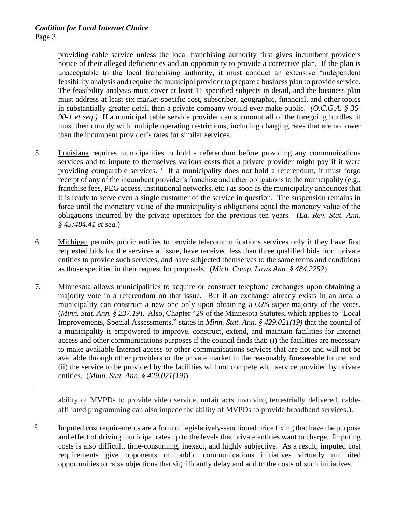## *Coalition for Local Internet Choice* Page 3

providing cable service unless the local franchising authority first gives incumbent providers notice of their alleged deficiencies and an opportunity to provide a corrective plan. If the plan is unacceptable to the local franchising authority, it must conduct an extensive "independent feasibility analysis and require the municipal provider to prepare a business plan to provide service. The feasibility analysis must cover at least 11 specified subjects in detail, and the business plan must address at least six market-specific cost, subscriber, geographic, financial, and other topics in substantially greater detail than a private company would ever make public. *(O.C.G.A. § 36- 90-1 et seq.)* If a municipal cable service provider can surmount all of the foregoing hurdles, it must then comply with multiple operating restrictions, including charging rates that are no lower than the incumbent provider's rates for similar services.

- 5. Louisiana requires municipalities to hold a referendum before providing any communications services and to impute to themselves various costs that a private provider might pay if it were providing comparable services.<sup>5</sup> If a municipality does not hold a referendum, it must forgo receipt of any of the incumbent provider's franchise and other obligations to the municipality (e.g., franchise fees, PEG access, institutional networks, etc.) as soon as the municipality announces that it is ready to serve even a single customer of the service in question. The suspension remains in force until the monetary value of the municipality's obligations equal the monetary value of the obligations incurred by the private operators for the previous ten years. (*La. Rev. Stat. Ann. § 45:484.41 et seq.*)
- 6. Michigan permits public entities to provide telecommunications services only if they have first requested bids for the services at issue, have received less than three qualified bids from private entities to provide such services, and have subjected themselves to the same terms and conditions as those specified in their request for proposals. (*Mich. Comp. Laws Ann. § 484.2252*)
- 7. Minnesota allows municipalities to acquire or construct telephone exchanges upon obtaining a majority vote in a referendum on that issue. But if an exchange already exists in an area, a municipality can construct a new one only upon obtaining a 65% super-majority of the votes. (*Minn. Stat. Ann. § 237.19*). Also, Chapter 429 of the Minnesota Statutes, which applies to "Local Improvements, Special Assessments," states in *Minn. Stat. Ann. § 429.021(19)* that the council of a municipality is empowered to improve, construct, extend, and maintain facilities for Internet access and other communications purposes if the council finds that: (i) the facilities are necessary to make available Internet access or other communications services that are not and will not be available through other providers or the private market in the reasonably foreseeable future; and (ii) the service to be provided by the facilities will not compete with service provided by private entities. (*Minn. Stat. Ann. § 429.021(19)*)

ability of MVPDs to provide video service, unfair acts involving terrestrially delivered, cableaffiliated programming can also impede the ability of MVPDs to provide broadband services.).

<sup>5</sup> Imputed cost requirements are a form of legislatively-sanctioned price fixing that have the purpose and effect of driving municipal rates up to the levels that private entities want to charge. Imputing costs is also difficult, time-consuming, inexact, and highly subjective. As a result, imputed cost requirements give opponents of public communications initiatives virtually unlimited opportunities to raise objections that significantly delay and add to the costs of such initiatives.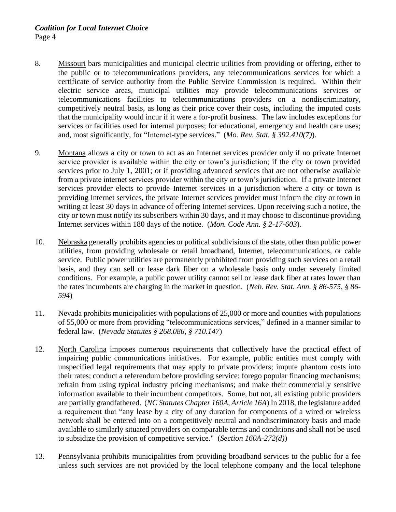- 8. Missouri bars municipalities and municipal electric utilities from providing or offering, either to the public or to telecommunications providers, any telecommunications services for which a certificate of service authority from the Public Service Commission is required. Within their electric service areas, municipal utilities may provide telecommunications services or telecommunications facilities to telecommunications providers on a nondiscriminatory, competitively neutral basis, as long as their price cover their costs, including the imputed costs that the municipality would incur if it were a for-profit business. The law includes exceptions for services or facilities used for internal purposes; for educational, emergency and health care uses; and, most significantly, for "Internet-type services." (*Mo. Rev. Stat. § 392.410(7)*).
- 9. Montana allows a city or town to act as an Internet services provider only if no private Internet service provider is available within the city or town's jurisdiction; if the city or town provided services prior to July 1, 2001; or if providing advanced services that are not otherwise available from a private internet services provider within the city or town's jurisdiction. If a private Internet services provider elects to provide Internet services in a jurisdiction where a city or town is providing Internet services, the private Internet services provider must inform the city or town in writing at least 30 days in advance of offering Internet services. Upon receiving such a notice, the city or town must notify its subscribers within 30 days, and it may choose to discontinue providing Internet services within 180 days of the notice. (*Mon. Code Ann. § 2-17-603*)*.*
- 10. Nebraska generally prohibits agencies or political subdivisions of the state, other than public power utilities, from providing wholesale or retail broadband, Internet, telecommunications, or cable service. Public power utilities are permanently prohibited from providing such services on a retail basis, and they can sell or lease dark fiber on a wholesale basis only under severely limited conditions. For example, a public power utility cannot sell or lease dark fiber at rates lower than the rates incumbents are charging in the market in question. (*Neb. Rev. Stat. Ann. § 86-575, § 86- 594*)
- 11. Nevada prohibits municipalities with populations of 25,000 or more and counties with populations of 55,000 or more from providing "telecommunications services," defined in a manner similar to federal law. (*Nevada Statutes § 268.086, § 710.147*)
- 12. North Carolina imposes numerous requirements that collectively have the practical effect of impairing public communications initiatives. For example, public entities must comply with unspecified legal requirements that may apply to private providers; impute phantom costs into their rates; conduct a referendum before providing service; forego popular financing mechanisms; refrain from using typical industry pricing mechanisms; and make their commercially sensitive information available to their incumbent competitors. Some, but not, all existing public providers are partially grandfathered. (*NC Statutes Chapter 160A, Article 16A*) In 2018, the legislature added a requirement that "any lease by a city of any duration for components of a wired or wireless network shall be entered into on a competitively neutral and nondiscriminatory basis and made available to similarly situated providers on comparable terms and conditions and shall not be used to subsidize the provision of competitive service." (*Section 160A-272(d)*)
- 13. Pennsylvania prohibits municipalities from providing broadband services to the public for a fee unless such services are not provided by the local telephone company and the local telephone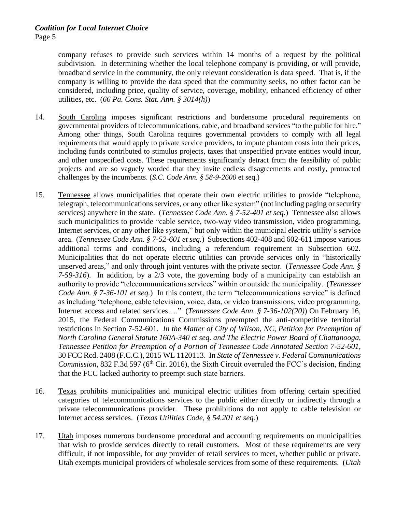company refuses to provide such services within 14 months of a request by the political subdivision. In determining whether the local telephone company is providing, or will provide, broadband service in the community, the only relevant consideration is data speed. That is, if the company is willing to provide the data speed that the community seeks, no other factor can be considered, including price, quality of service, coverage, mobility, enhanced efficiency of other utilities, etc. (*66 Pa. Cons. Stat. Ann. § 3014(h)*)

- 14. South Carolina imposes significant restrictions and burdensome procedural requirements on governmental providers of telecommunications, cable, and broadband services "to the public for hire." Among other things, South Carolina requires governmental providers to comply with all legal requirements that would apply to private service providers, to impute phantom costs into their prices, including funds contributed to stimulus projects, taxes that unspecified private entities would incur, and other unspecified costs. These requirements significantly detract from the feasibility of public projects and are so vaguely worded that they invite endless disagreements and costly, protracted challenges by the incumbents. (*S.C. Code Ann. § 58-9-2600* et seq.)
- 15. Tennessee allows municipalities that operate their own electric utilities to provide "telephone, telegraph, telecommunications services, or any other like system" (not including paging or security services) anywhere in the state. (*Tennessee Code Ann. § 7-52-401 et seq.*) Tennessee also allows such municipalities to provide "cable service, two-way video transmission, video programming, Internet services, or any other like system," but only within the municipal electric utility's service area. (*Tennessee Code Ann. § 7-52-601 et seq.*) Subsections 402-408 and 602-611 impose various additional terms and conditions, including a referendum requirement in Subsection 602. Municipalities that do not operate electric utilities can provide services only in "historically unserved areas," and only through joint ventures with the private sector. (*Tennessee Code Ann. § 7-59-316*). In addition, by a 2/3 vote, the governing body of a municipality can establish an authority to provide "telecommunications services" within or outside the municipality. (*Tennessee Code Ann.* § 7-36-101 et seq.) In this context, the term "telecommunications service" is defined as including "telephone, cable television, voice, data, or video transmissions, video programming, Internet access and related services…." (*Tennessee Code Ann. § 7-36-102(20)*) On February 16, 2015, the Federal Communications Commissions preempted the anti-competitive territorial restrictions in Section 7-52-601. *In the Matter of City of Wilson, NC, Petition for Preemption of North Carolina General Statute 160A-340 et seq. and The Electric Power Board of Chattanooga, Tennessee Petition for Preemption of a Portion of Tennessee Code Annotated Section 7-52-601*, 30 FCC Rcd. 2408 (F.C.C.), 2015 WL 1120113. In *State of Tennessee v. Federal Communications Commission*, 832 F.3d 597 (6<sup>th</sup> Cir. 2016), the Sixth Circuit overruled the FCC's decision, finding that the FCC lacked authority to preempt such state barriers.
- 16. Texas prohibits municipalities and municipal electric utilities from offering certain specified categories of telecommunications services to the public either directly or indirectly through a private telecommunications provider. These prohibitions do not apply to cable television or Internet access services. (*Texas Utilities Code, § 54.201 et seq.*)
- 17. Utah imposes numerous burdensome procedural and accounting requirements on municipalities that wish to provide services directly to retail customers. Most of these requirements are very difficult, if not impossible, for *any* provider of retail services to meet, whether public or private. Utah exempts municipal providers of wholesale services from some of these requirements. (*Utah*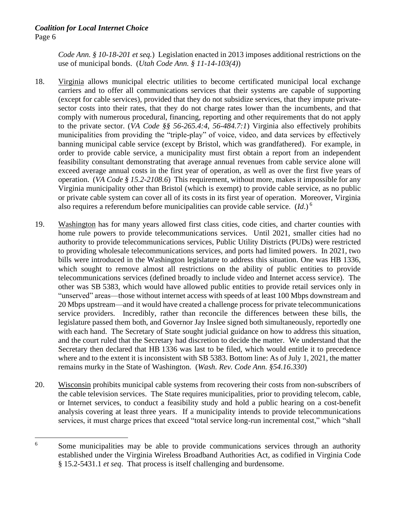## *Coalition for Local Internet Choice* Page 6

*Code Ann. § 10-18-201 et seq.*) Legislation enacted in 2013 imposes additional restrictions on the use of municipal bonds. (*Utah Code Ann. § 11-14-103(4)*)

- 18. Virginia allows municipal electric utilities to become certificated municipal local exchange carriers and to offer all communications services that their systems are capable of supporting (except for cable services), provided that they do not subsidize services, that they impute privatesector costs into their rates, that they do not charge rates lower than the incumbents, and that comply with numerous procedural, financing, reporting and other requirements that do not apply to the private sector. (*VA Code §§ 56-265.4:4, 56-484.7:1*) Virginia also effectively prohibits municipalities from providing the "triple-play" of voice, video, and data services by effectively banning municipal cable service (except by Bristol, which was grandfathered). For example, in order to provide cable service, a municipality must first obtain a report from an independent feasibility consultant demonstrating that average annual revenues from cable service alone will exceed average annual costs in the first year of operation, as well as over the first five years of operation. (*VA Code § 15.2-2108.6*) This requirement, without more, makes it impossible for any Virginia municipality other than Bristol (which is exempt) to provide cable service, as no public or private cable system can cover all of its costs in its first year of operation. Moreover, Virginia also requires a referendum before municipalities can provide cable service. (*Id*.) 6
- 19. Washington has for many years allowed first class cities, code cities, and charter counties with home rule powers to provide telecommunications services. Until 2021, smaller cities had no authority to provide telecommunications services, Public Utility Districts (PUDs) were restricted to providing wholesale telecommunications services, and ports had limited powers. In 2021, two bills were introduced in the Washington legislature to address this situation. One was HB 1336, which sought to remove almost all restrictions on the ability of public entities to provide telecommunications services (defined broadly to include video and Internet access service). The other was SB 5383, which would have allowed public entities to provide retail services only in "unserved" areas—those without internet access with speeds of at least 100 Mbps downstream and 20 Mbps upstream—and it would have created a challenge process for private telecommunications service providers. Incredibly, rather than reconcile the differences between these bills, the legislature passed them both, and Governor Jay Inslee signed both simultaneously, reportedly one with each hand. The Secretary of State sought judicial guidance on how to address this situation, and the court ruled that the Secretary had discretion to decide the matter. We understand that the Secretary then declared that HB 1336 was last to be filed, which would entitle it to precedence where and to the extent it is inconsistent with SB 5383. Bottom line: As of July 1, 2021, the matter remains murky in the State of Washington. (*Wash. Rev. Code Ann. §54.16.330*)
- 20. Wisconsin prohibits municipal cable systems from recovering their costs from non-subscribers of the cable television services. The State requires municipalities, prior to providing telecom, cable, or Internet services, to conduct a feasibility study and hold a public hearing on a cost-benefit analysis covering at least three years. If a municipality intends to provide telecommunications services, it must charge prices that exceed "total service long-run incremental cost," which "shall

<sup>&</sup>lt;sup>6</sup> Some municipalities may be able to provide communications services through an authority established under the Virginia Wireless Broadband Authorities Act, as codified in Virginia Code § 15.2-5431.1 *et seq*. That process is itself challenging and burdensome.